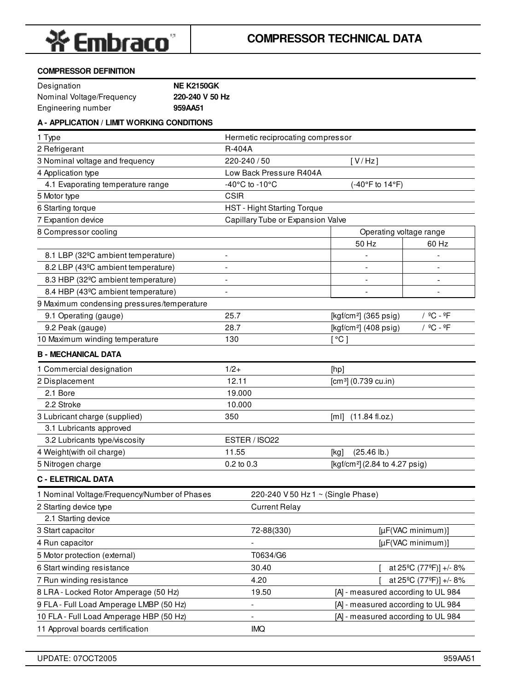

#### **COMPRESSOR DEFINITION**

| Designation               | <b>NE K2150GK</b> |
|---------------------------|-------------------|
| Nominal Voltage/Frequency | 220-240 V 50 Hz   |
| Engineering number        | 959AA51           |

## **A - APPLICATION / LIMIT WORKING CONDITIONS**

| 1 Type                                          | Hermetic reciprocating compressor  |                                                |
|-------------------------------------------------|------------------------------------|------------------------------------------------|
| 2 Refrigerant                                   | R-404A                             |                                                |
| 3 Nominal voltage and frequency                 | 220-240 / 50                       | [V/Hz]                                         |
| 4 Application type                              | Low Back Pressure R404A            |                                                |
| 4.1 Evaporating temperature range               | -40°C to -10°C                     | (-40°F to 14°F)                                |
| 5 Motor type                                    | <b>CSIR</b>                        |                                                |
| 6 Starting torque                               | <b>HST - Hight Starting Torque</b> |                                                |
| 7 Expantion device                              | Capillary Tube or Expansion Valve  |                                                |
| 8 Compressor cooling                            |                                    | Operating voltage range                        |
|                                                 |                                    | 50 Hz<br>60 Hz                                 |
| 8.1 LBP (32°C ambient temperature)              | $\overline{\phantom{0}}$           |                                                |
| 8.2 LBP (43°C ambient temperature)              | ÷                                  |                                                |
| 8.3 HBP (32 <sup>o</sup> C ambient temperature) | $\qquad \qquad \blacksquare$       | $\qquad \qquad \blacksquare$<br>$\overline{a}$ |
| 8.4 HBP (43°C ambient temperature)              |                                    |                                                |
| 9 Maximum condensing pressures/temperature      |                                    |                                                |
| 9.1 Operating (gauge)                           | 25.7                               | / ºC - ºF<br>[kgf/cm <sup>2</sup> ] (365 psig) |
| 9.2 Peak (gauge)                                | 28.7                               | / ºC - ºF<br>[kgf/cm <sup>2</sup> ] (408 psig) |
| 10 Maximum winding temperature                  | 130                                | [°C]                                           |
| <b>B - MECHANICAL DATA</b>                      |                                    |                                                |
| 1 Commercial designation                        | $1/2 +$                            | [hp]                                           |
| 2 Displacement                                  | 12.11                              | $[cm^3]$ (0.739 cu.in)                         |
| 2.1 Bore                                        | 19.000                             |                                                |
| 2.2 Stroke                                      | 10.000                             |                                                |
| 3 Lubricant charge (supplied)                   | 350                                | $[m1]$ (11.84 fl.oz.)                          |
| 3.1 Lubricants approved                         |                                    |                                                |
| 3.2 Lubricants type/viscosity                   | ESTER / ISO22                      |                                                |
| 4 Weight(with oil charge)                       | 11.55                              | $(25.46 \, lb.)$<br>[kg]                       |
| 5 Nitrogen charge                               | 0.2 to 0.3                         | [kgf/cm <sup>2</sup> ] (2.84 to 4.27 psig)     |
| <b>C - ELETRICAL DATA</b>                       |                                    |                                                |
| 1 Nominal Voltage/Frequency/Number of Phases    | 220-240 V 50 Hz 1 ~ (Single Phase) |                                                |
| 2 Starting device type                          | <b>Current Relay</b>               |                                                |
| 2.1 Starting device                             |                                    |                                                |
| 3 Start capacitor                               | 72-88(330)                         | [µF(VAC minimum)]                              |
| 4 Run capacitor                                 |                                    | [µF(VAC minimum)]                              |
| 5 Motor protection (external)                   | T0634/G6                           |                                                |
| 6 Start winding resistance                      | 30.40                              | at 25°C (77°F)] +/- 8%                         |
| 7 Run winding resistance                        | 4.20                               | at 25°C (77°F)] +/- 8%                         |
| 8 LRA - Locked Rotor Amperage (50 Hz)           | 19.50                              | [A] - measured according to UL 984             |
| 9 FLA - Full Load Amperage LMBP (50 Hz)         |                                    | [A] - measured according to UL 984             |
| 10 FLA - Full Load Amperage HBP (50 Hz)         |                                    | [A] - measured according to UL 984             |
| 11 Approval boards certification                | <b>IMQ</b>                         |                                                |
|                                                 |                                    |                                                |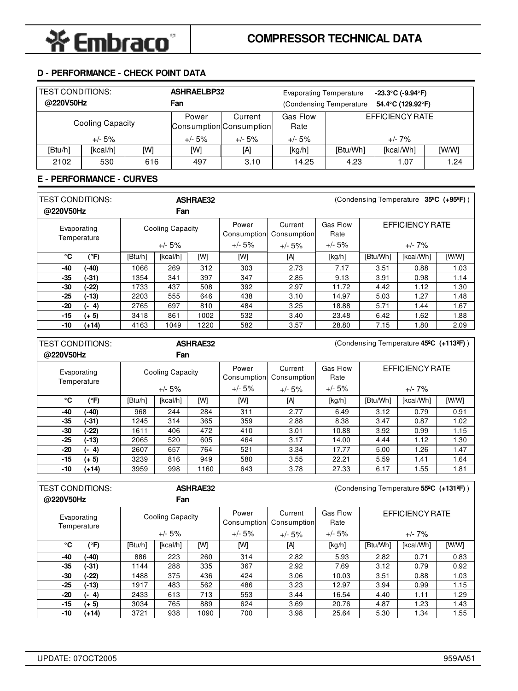# **D - PERFORMANCE - CHECK POINT DATA**

| <b>TEST CONDITIONS:</b><br>@220V50Hz |                  |     | <b>ASHRAELBP32</b><br>Fan | <b>Evaporating Temperature</b><br>(Condensing Temperature) |                  |          | $-23.3^{\circ}$ C (-9.94 $^{\circ}$ F)<br>54.4°C (129.92°F) |       |
|--------------------------------------|------------------|-----|---------------------------|------------------------------------------------------------|------------------|----------|-------------------------------------------------------------|-------|
|                                      | Cooling Capacity |     | Power                     | Current<br>Consumption Consumption                         | Gas Flow<br>Rate |          | EFFICIENCY RATE                                             |       |
|                                      | $+/- 5%$         |     | +/- 5%                    | $+/- 5%$                                                   | $+/- 5%$         |          | +/- 7%                                                      |       |
| [Btu/h]                              | [kcal/h]         | [W] | [W]                       | [A]                                                        | [kg/h]           | [Btu/Wh] | [kcal/Wh]                                                   | [W/W] |
| 2102                                 | 530              | 616 | 497                       | 3.10                                                       | 14.25            | 4.23     | 1.07                                                        | .24   |

## **E - PERFORMANCE - CURVES**

| <b>TEST CONDITIONS:</b><br>@220V50Hz |         | <b>ASHRAE32</b><br>Fan |          |      |                      |                        | (Condensing Temperature $35^{\circ}$ C (+95 <sup>o</sup> F)) |                 |           |       |
|--------------------------------------|---------|------------------------|----------|------|----------------------|------------------------|--------------------------------------------------------------|-----------------|-----------|-------|
| Evaporating<br>Temperature           |         | Cooling Capacity       |          |      | Power<br>Consumption | Current<br>Consumption | Gas Flow<br>Rate                                             | EFFICIENCY RATE |           |       |
|                                      |         |                        | $+/- 5%$ |      | $+/- 5%$             | $+/- 5%$               | $+/- 5%$                                                     |                 | $+/- 7\%$ |       |
| °C                                   | (°F)    | [Btu/h]                | [kcal/h] | [W]  | [W]                  | [A]                    | [kg/h]                                                       | [Btu/Wh]        | [kcal/Wh] | [W/W] |
| -40                                  | (-40)   | 1066                   | 269      | 312  | 303                  | 2.73                   | 7.17                                                         | 3.51            | 0.88      | 1.03  |
| $-35$                                | $(-31)$ | 1354                   | 341      | 397  | 347                  | 2.85                   | 9.13                                                         | 3.91            | 0.98      | 1.14  |
| -30                                  | (-22)   | 1733                   | 437      | 508  | 392                  | 2.97                   | 11.72                                                        | 4.42            | 1.12      | 1.30  |
| $-25$                                | $(-13)$ | 2203                   | 555      | 646  | 438                  | 3.10                   | 14.97                                                        | 5.03            | 1.27      | 1.48  |
| -20                                  | $(-4)$  | 2765                   | 697      | 810  | 484                  | 3.25                   | 18.88                                                        | 5.71            | 1.44      | 1.67  |
| $-15$                                | $(+ 5)$ | 3418                   | 861      | 1002 | 532                  | 3.40                   | 23.48                                                        | 6.42            | 1.62      | 1.88  |
| -10                                  | (+14)   | 4163                   | 1049     | 1220 | 582                  | 3.57                   | 28.80                                                        | 7.15            | 1.80      | 2.09  |

| <b>TEST CONDITIONS:</b> |                            |         |                  | <b>ASHRAE32</b> | (Condensing Temperature 45 <sup>o</sup> C (+113 <sup>o</sup> F)) |                        |                  |          |                 |       |
|-------------------------|----------------------------|---------|------------------|-----------------|------------------------------------------------------------------|------------------------|------------------|----------|-----------------|-------|
| @220V50Hz               |                            |         | Fan              |                 |                                                                  |                        |                  |          |                 |       |
|                         | Evaporating<br>Temperature |         | Cooling Capacity |                 | Power<br>Consumption                                             | Current<br>Consumption | Gas Flow<br>Rate |          | EFFICIENCY RATE |       |
|                         |                            |         | $+/- 5%$         |                 | $+/- 5%$                                                         | $+/- 5%$               | $+/- 5%$         |          | $+/- 7\%$       |       |
| °C                      | (°F)                       | [Btu/h] | [kcal/h]         | [W]             | [W]                                                              | [A]                    | [kg/h]           | [Btu/Wh] | [kcal/Wh]       | [W/W] |
| -40                     | (-40)                      | 968     | 244              | 284             | 311                                                              | 2.77                   | 6.49             | 3.12     | 0.79            | 0.91  |
| $-35$                   | $(-31)$                    | 1245    | 314              | 365             | 359                                                              | 2.88                   | 8.38             | 3.47     | 0.87            | 1.02  |
| -30                     | $(-22)$                    | 1611    | 406              | 472             | 410                                                              | 3.01                   | 10.88            | 3.92     | 0.99            | 1.15  |
| $-25$                   | $(-13)$                    | 2065    | 520              | 605             | 464                                                              | 3.17                   | 14.00            | 4.44     | 1.12            | 1.30  |
| -20                     | (- 4)                      | 2607    | 657              | 764             | 521                                                              | 3.34                   | 17.77            | 5.00     | 1.26            | 1.47  |
| $-15$                   | $(+ 5)$                    | 3239    | 816              | 949             | 580                                                              | 3.55                   | 22.21            | 5.59     | 1.41            | 1.64  |
| -10                     | $(+14)$                    | 3959    | 998              | 1160            | 643                                                              | 3.78                   | 27.33            | 6.17     | 1.55            | 1.81  |
|                         |                            |         |                  |                 |                                                                  |                        |                  |          |                 |       |

| <b>TEST CONDITIONS:</b> |                            | <b>ASHRAE32</b> |                  |      | (Condensing Temperature 55°C (+131°F)) |                        |                  |          |                 |       |  |
|-------------------------|----------------------------|-----------------|------------------|------|----------------------------------------|------------------------|------------------|----------|-----------------|-------|--|
| @220V50Hz               |                            |                 | Fan              |      |                                        |                        |                  |          |                 |       |  |
|                         | Evaporating<br>Temperature |                 | Cooling Capacity |      | Power<br>Consumption                   | Current<br>Consumption | Gas Flow<br>Rate |          | EFFICIENCY RATE |       |  |
|                         |                            |                 | $+/- 5%$         |      | $+/- 5%$                               | $+/- 5%$               | $+/- 5%$         |          | $+/- 7\%$       |       |  |
| °C                      | $(^{\circ}F)$              | [Btu/h]         | [kcal/h]         | [W]  | [W]                                    | [A]                    | [kg/h]           | [Btu/Wh] | [kcal/Wh]       | [W/W] |  |
| -40                     | (-40)                      | 886             | 223              | 260  | 314                                    | 2.82                   | 5.93             | 2.82     | 0.71            | 0.83  |  |
| $-35$                   | (-31)                      | 1144            | 288              | 335  | 367                                    | 2.92                   | 7.69             | 3.12     | 0.79            | 0.92  |  |
| -30                     | (-22)                      | 1488            | 375              | 436  | 424                                    | 3.06                   | 10.03            | 3.51     | 0.88            | 1.03  |  |
| $-25$                   | $(-13)$                    | 1917            | 483              | 562  | 486                                    | 3.23                   | 12.97            | 3.94     | 0.99            | 1.15  |  |
| -20                     | $(-4)$                     | 2433            | 613              | 713  | 553                                    | 3.44                   | 16.54            | 4.40     | 1.11            | 1.29  |  |
| $-15$                   | $(+ 5)$                    | 3034            | 765              | 889  | 624                                    | 3.69                   | 20.76            | 4.87     | 1.23            | 1.43  |  |
| -10                     | (+14)                      | 3721            | 938              | 1090 | 700                                    | 3.98                   | 25.64            | 5.30     | 1.34            | 55. ا |  |